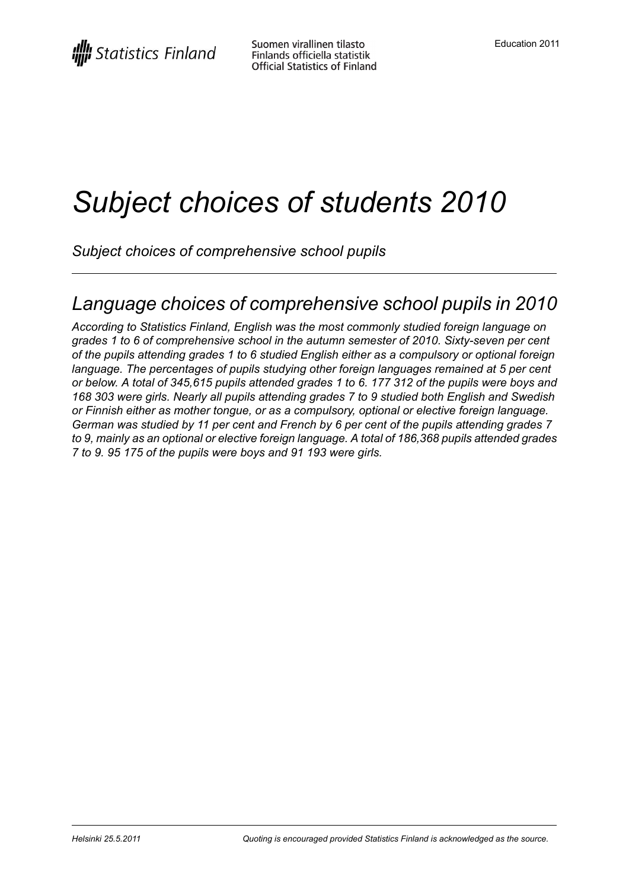# *Subject choices of students 2010*

*Subject choices of comprehensive school pupils*

### *Language choices of comprehensive school pupils in 2010*

*According to Statistics Finland, English was the most commonly studied foreign language on grades 1 to 6 of comprehensive school in the autumn semester of 2010. Sixty-seven per cent of the pupils attending grades 1 to 6 studied English either as a compulsory or optional foreign language. The percentages of pupils studying other foreign languages remained at 5 per cent* or below. A total of 345,615 pupils attended grades 1 to 6. 177 312 of the pupils were boys and *168 303 were girls. Nearly all pupils attending grades 7 to 9 studied both English and Swedish or Finnish either as mother tongue, or as a compulsory, optional or elective foreign language. German was studied by 11 per cent and French by 6 per cent of the pupils attending grades 7 to 9, mainly as an optional or elective foreign language. A total of 186,368 pupils attended grades 7 to 9. 95 175 of the pupils were boys and 91 193 were girls.*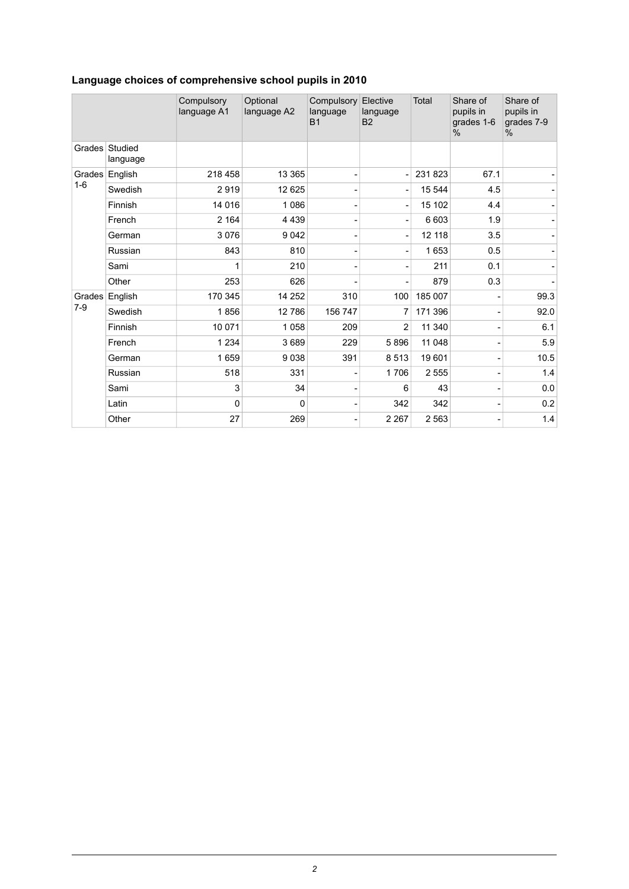|  |  | Language choices of comprehensive school pupils in 2010 |  |  |  |
|--|--|---------------------------------------------------------|--|--|--|
|--|--|---------------------------------------------------------|--|--|--|

|         |                            | Compulsory<br>language A1 | Optional<br>language A2 | Compulsory<br>language<br><b>B1</b> | Elective<br>language<br><b>B2</b> | <b>Total</b> | Share of<br>pupils in<br>grades 1-6<br>$\%$ | Share of<br>pupils in<br>grades 7-9<br>% |
|---------|----------------------------|---------------------------|-------------------------|-------------------------------------|-----------------------------------|--------------|---------------------------------------------|------------------------------------------|
|         | Grades Studied<br>language |                           |                         |                                     |                                   |              |                                             |                                          |
|         | Grades English             | 218 458                   | 13 3 65                 |                                     | Ē,                                | 231823       | 67.1                                        |                                          |
| $1 - 6$ | Swedish                    | 2919                      | 12 625                  |                                     |                                   | 15 544       | 4.5                                         |                                          |
|         | Finnish                    | 14 0 16                   | 1086                    |                                     |                                   | 15 102       | 4.4                                         |                                          |
|         | French                     | 2 1 6 4                   | 4 4 3 9                 |                                     |                                   | 6 603        | 1.9                                         |                                          |
|         | German                     | 3076                      | 9042                    |                                     |                                   | 12 118       | 3.5                                         |                                          |
|         | Russian                    | 843                       | 810                     |                                     |                                   | 1653         | 0.5                                         |                                          |
|         | Sami                       | 1                         | 210                     |                                     |                                   | 211          | 0.1                                         |                                          |
|         | Other                      | 253                       | 626                     |                                     |                                   | 879          | 0.3                                         |                                          |
|         | Grades English             | 170 345                   | 14 25 2                 | 310                                 | 100                               | 185 007      |                                             | 99.3                                     |
| $7-9$   | Swedish                    | 1856                      | 12786                   | 156 747                             | 7                                 | 171 396      |                                             | 92.0                                     |
|         | Finnish                    | 10 0 71                   | 1058                    | 209                                 | 2                                 | 11 340       |                                             | 6.1                                      |
|         | French                     | 1 2 3 4                   | 3689                    | 229                                 | 5896                              | 11 048       |                                             | 5.9                                      |
|         | German                     | 1659                      | 9038                    | 391                                 | 8513                              | 19601        |                                             | 10.5                                     |
|         | Russian                    | 518                       | 331                     |                                     | 1706                              | 2555         |                                             | 1.4                                      |
|         | Sami                       | 3                         | 34                      |                                     | 6                                 | 43           |                                             | 0.0                                      |
|         | Latin                      | 0                         | 0                       |                                     | 342                               | 342          |                                             | 0.2                                      |
|         | Other                      | 27                        | 269                     |                                     | 2 2 6 7                           | 2 5 6 3      |                                             | 1.4                                      |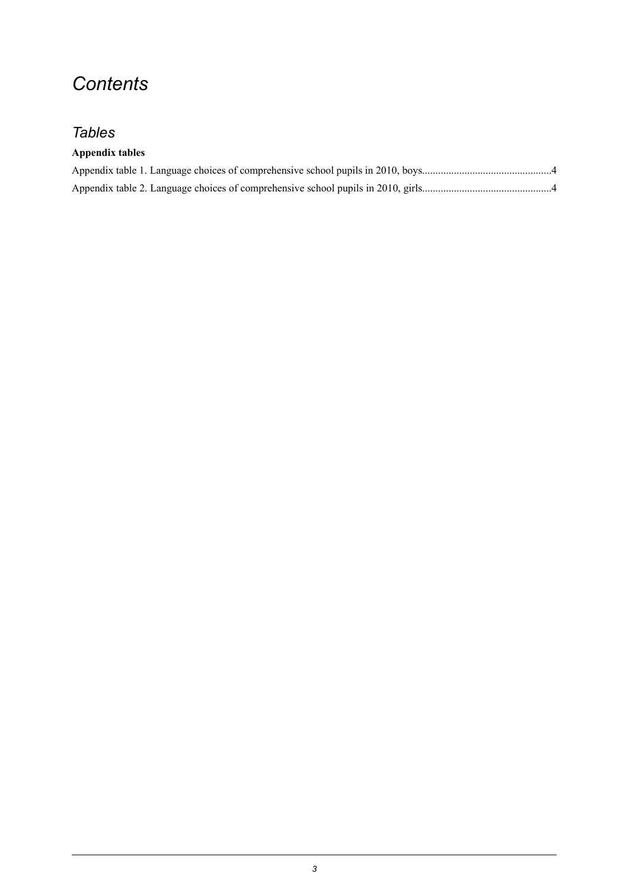### *Contents*

#### *Tables*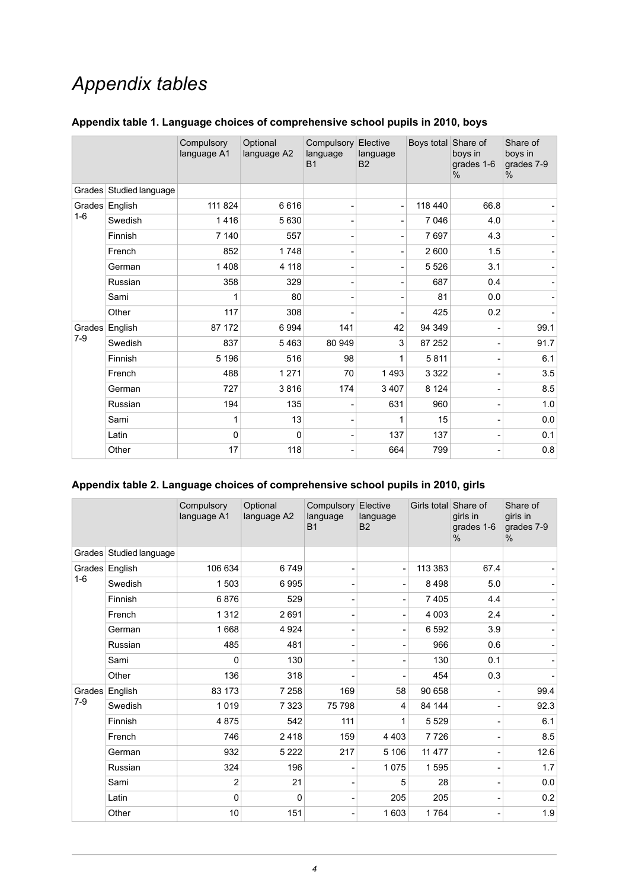### *Appendix tables*

|         |                         | Compulsory<br>language A1 | Optional<br>language A2 | Compulsory Elective<br>language<br><b>B1</b> | language<br><b>B2</b> | Boys total Share of | boys in<br>grades 1-6<br>$\%$ | Share of<br>boys in<br>grades 7-9<br>$\%$ |
|---------|-------------------------|---------------------------|-------------------------|----------------------------------------------|-----------------------|---------------------|-------------------------------|-------------------------------------------|
|         | Grades Studied language |                           |                         |                                              |                       |                     |                               |                                           |
|         | Grades English          | 111 824                   | 6616                    |                                              | ٠                     | 118 440             | 66.8                          |                                           |
| $1 - 6$ | Swedish                 | 1416                      | 5630                    |                                              |                       | 7 0 46              | 4.0                           |                                           |
|         | Finnish                 | 7 140                     | 557                     |                                              |                       | 7697                | 4.3                           |                                           |
|         | French                  | 852                       | 1748                    |                                              |                       | 2 600               | 1.5                           |                                           |
|         | German                  | 1408                      | 4 1 1 8                 |                                              |                       | 5 5 2 6             | 3.1                           |                                           |
|         | Russian                 | 358                       | 329                     |                                              |                       | 687                 | 0.4                           |                                           |
|         | Sami                    |                           | 80                      |                                              |                       | 81                  | 0.0                           |                                           |
|         | Other                   | 117                       | 308                     |                                              |                       | 425                 | 0.2                           |                                           |
| Grades  | English                 | 87 172                    | 6994                    | 141                                          | 42                    | 94 34 9             |                               | 99.1                                      |
| $7-9$   | Swedish                 | 837                       | 5463                    | 80 949                                       | 3                     | 87 252              |                               | 91.7                                      |
|         | Finnish                 | 5 1 9 6                   | 516                     | 98                                           | 1                     | 5811                |                               | 6.1                                       |
|         | French                  | 488                       | 1 2 7 1                 | 70                                           | 1493                  | 3 3 2 2             |                               | 3.5                                       |
|         | German                  | 727                       | 3816                    | 174                                          | 3 4 0 7               | 8 1 2 4             |                               | 8.5                                       |
|         | Russian                 | 194                       | 135                     |                                              | 631                   | 960                 |                               | 1.0                                       |
|         | Sami                    | 1                         | 13                      |                                              |                       | 15                  |                               | 0.0                                       |
|         | Latin                   | $\mathbf{0}$              | 0                       |                                              | 137                   | 137                 |                               | 0.1                                       |
|         | Other                   | 17                        | 118                     |                                              | 664                   | 799                 |                               | 0.8                                       |

#### <span id="page-3-0"></span>**Appendix table 1. Language choices of comprehensive school pupils in 2010, boys**

#### <span id="page-3-1"></span>**Appendix table 2. Language choices of comprehensive school pupils in 2010, girls**

|         |                         | Compulsory<br>language A1 | Optional<br>language A2 | Compulsory<br>language<br><b>B1</b> | Elective<br>language<br><b>B2</b> | Girls total Share of | girls in<br>grades 1-6<br>$\%$ | Share of<br>girls in<br>grades 7-9<br>$\%$ |
|---------|-------------------------|---------------------------|-------------------------|-------------------------------------|-----------------------------------|----------------------|--------------------------------|--------------------------------------------|
|         | Grades Studied language |                           |                         |                                     |                                   |                      |                                |                                            |
|         | Grades English          | 106 634                   | 6749                    |                                     |                                   | 113 383              | 67.4                           |                                            |
| $1 - 6$ | Swedish                 | 1503                      | 6995                    |                                     |                                   | 8498                 | 5.0                            |                                            |
|         | Finnish                 | 6876                      | 529                     |                                     |                                   | 7405                 | 4.4                            |                                            |
|         | French                  | 1 3 1 2                   | 2691                    |                                     |                                   | 4 0 0 3              | 2.4                            |                                            |
|         | German                  | 1668                      | 4 9 24                  |                                     |                                   | 6592                 | 3.9                            |                                            |
|         | Russian                 | 485                       | 481                     |                                     |                                   | 966                  | 0.6                            |                                            |
|         | Sami                    | 0                         | 130                     |                                     |                                   | 130                  | 0.1                            |                                            |
|         | Other                   | 136                       | 318                     |                                     |                                   | 454                  | 0.3                            |                                            |
| Grades  | English                 | 83 173                    | 7 2 5 8                 | 169                                 | 58                                | 90 658               |                                | 99.4                                       |
| $7-9$   | Swedish                 | 1019                      | 7 3 2 3                 | 75 798                              | 4                                 | 84 144               |                                | 92.3                                       |
|         | Finnish                 | 4875                      | 542                     | 111                                 | 1                                 | 5 5 2 9              |                                | 6.1                                        |
|         | French                  | 746                       | 2418                    | 159                                 | 4 4 0 3                           | 7726                 |                                | 8.5                                        |
|         | German                  | 932                       | 5 2 2 2                 | 217                                 | 5 10 6                            | 11 477               |                                | 12.6                                       |
|         | Russian                 | 324                       | 196                     |                                     | 1 0 7 5                           | 1595                 |                                | 1.7                                        |
|         | Sami                    | $\overline{2}$            | 21                      |                                     | 5                                 | 28                   |                                | 0.0                                        |
|         | Latin                   | $\mathbf 0$               | 0                       |                                     | 205                               | 205                  |                                | 0.2                                        |
|         | Other                   | 10                        | 151                     |                                     | 1 603                             | 1764                 |                                | 1.9                                        |